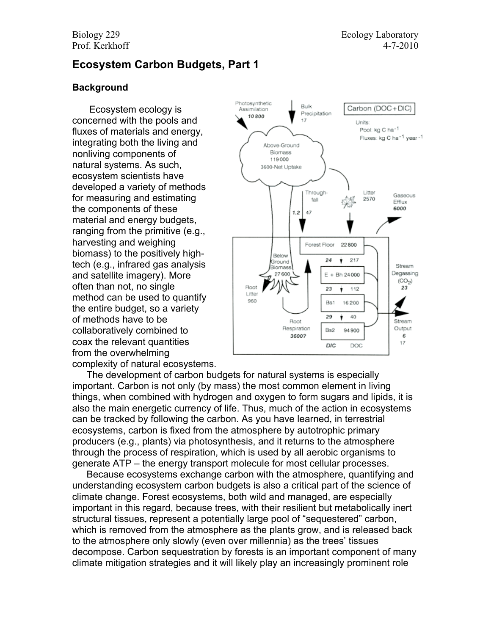# **Ecosystem Carbon Budgets, Part 1**

### **Background**

Ecosystem ecology is concerned with the pools and fluxes of materials and energy, integrating both the living and nonliving components of natural systems. As such, ecosystem scientists have developed a variety of methods for measuring and estimating the components of these material and energy budgets, ranging from the primitive (e.g., harvesting and weighing biomass) to the positively hightech (e.g., infrared gas analysis and satellite imagery). More often than not, no single method can be used to quantify the entire budget, so a variety of methods have to be collaboratively combined to coax the relevant quantities from the overwhelming complexity of natural ecosystems.



The development of carbon budgets for natural systems is especially important. Carbon is not only (by mass) the most common element in living things, when combined with hydrogen and oxygen to form sugars and lipids, it is also the main energetic currency of life. Thus, much of the action in ecosystems can be tracked by following the carbon. As you have learned, in terrestrial ecosystems, carbon is fixed from the atmosphere by autotrophic primary producers (e.g., plants) via photosynthesis, and it returns to the atmosphere through the process of respiration, which is used by all aerobic organisms to generate ATP – the energy transport molecule for most cellular processes.

Because ecosystems exchange carbon with the atmosphere, quantifying and understanding ecosystem carbon budgets is also a critical part of the science of climate change. Forest ecosystems, both wild and managed, are especially important in this regard, because trees, with their resilient but metabolically inert structural tissues, represent a potentially large pool of "sequestered" carbon, which is removed from the atmosphere as the plants grow, and is released back to the atmosphere only slowly (even over millennia) as the trees' tissues decompose. Carbon sequestration by forests is an important component of many climate mitigation strategies and it will likely play an increasingly prominent role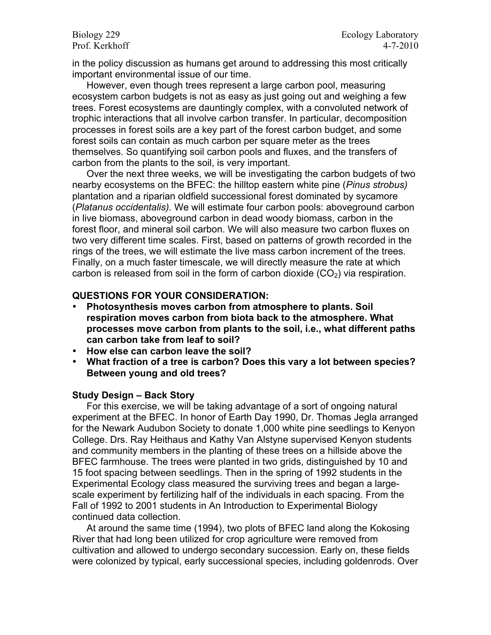in the policy discussion as humans get around to addressing this most critically important environmental issue of our time.

However, even though trees represent a large carbon pool, measuring ecosystem carbon budgets is not as easy as just going out and weighing a few trees. Forest ecosystems are dauntingly complex, with a convoluted network of trophic interactions that all involve carbon transfer. In particular, decomposition processes in forest soils are a key part of the forest carbon budget, and some forest soils can contain as much carbon per square meter as the trees themselves. So quantifying soil carbon pools and fluxes, and the transfers of carbon from the plants to the soil, is very important.

Over the next three weeks, we will be investigating the carbon budgets of two nearby ecosystems on the BFEC: the hilltop eastern white pine (*Pinus strobus)*  plantation and a riparian oldfield successional forest dominated by sycamore (*Platanus occidentalis).* We will estimate four carbon pools: aboveground carbon in live biomass, aboveground carbon in dead woody biomass, carbon in the forest floor, and mineral soil carbon. We will also measure two carbon fluxes on two very different time scales. First, based on patterns of growth recorded in the rings of the trees, we will estimate the live mass carbon increment of the trees. Finally, on a much faster timescale, we will directly measure the rate at which carbon is released from soil in the form of carbon dioxide  $(CO<sub>2</sub>)$  via respiration.

### **QUESTIONS FOR YOUR CONSIDERATION:**

- **Photosynthesis moves carbon from atmosphere to plants. Soil respiration moves carbon from biota back to the atmosphere. What processes move carbon from plants to the soil, i.e., what different paths can carbon take from leaf to soil?**
- **How else can carbon leave the soil?**
- **What fraction of a tree is carbon? Does this vary a lot between species? Between young and old trees?**

#### **Study Design – Back Story**

For this exercise, we will be taking advantage of a sort of ongoing natural experiment at the BFEC. In honor of Earth Day 1990, Dr. Thomas Jegla arranged for the Newark Audubon Society to donate 1,000 white pine seedlings to Kenyon College. Drs. Ray Heithaus and Kathy Van Alstyne supervised Kenyon students and community members in the planting of these trees on a hillside above the BFEC farmhouse. The trees were planted in two grids, distinguished by 10 and 15 foot spacing between seedlings. Then in the spring of 1992 students in the Experimental Ecology class measured the surviving trees and began a largescale experiment by fertilizing half of the individuals in each spacing. From the Fall of 1992 to 2001 students in An Introduction to Experimental Biology continued data collection.

At around the same time (1994), two plots of BFEC land along the Kokosing River that had long been utilized for crop agriculture were removed from cultivation and allowed to undergo secondary succession. Early on, these fields were colonized by typical, early successional species, including goldenrods. Over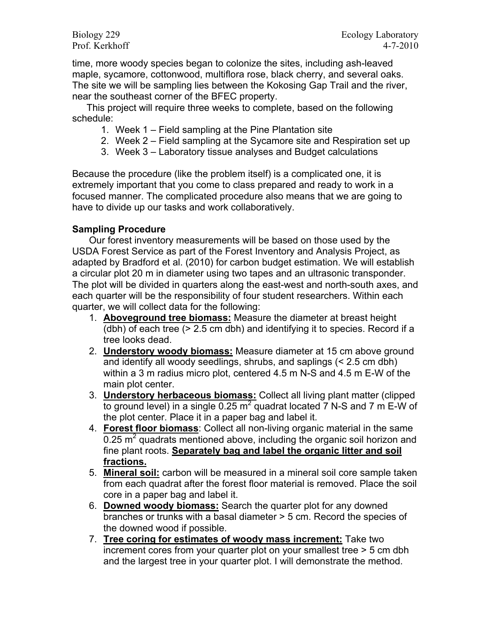time, more woody species began to colonize the sites, including ash-leaved maple, sycamore, cottonwood, multiflora rose, black cherry, and several oaks. The site we will be sampling lies between the Kokosing Gap Trail and the river, near the southeast corner of the BFEC property.

This project will require three weeks to complete, based on the following schedule:

- 1. Week 1 Field sampling at the Pine Plantation site
- 2. Week 2 Field sampling at the Sycamore site and Respiration set up
- 3. Week 3 Laboratory tissue analyses and Budget calculations

Because the procedure (like the problem itself) is a complicated one, it is extremely important that you come to class prepared and ready to work in a focused manner. The complicated procedure also means that we are going to have to divide up our tasks and work collaboratively.

## **Sampling Procedure**

Our forest inventory measurements will be based on those used by the USDA Forest Service as part of the Forest Inventory and Analysis Project, as adapted by Bradford et al. (2010) for carbon budget estimation. We will establish a circular plot 20 m in diameter using two tapes and an ultrasonic transponder. The plot will be divided in quarters along the east-west and north-south axes, and each quarter will be the responsibility of four student researchers. Within each quarter, we will collect data for the following:

- 1. **Aboveground tree biomass:** Measure the diameter at breast height (dbh) of each tree (> 2.5 cm dbh) and identifying it to species. Record if a tree looks dead.
- 2. **Understory woody biomass:** Measure diameter at 15 cm above ground and identify all woody seedlings, shrubs, and saplings (< 2.5 cm dbh) within a 3 m radius micro plot, centered 4.5 m N-S and 4.5 m E-W of the main plot center.
- 3. **Understory herbaceous biomass:** Collect all living plant matter (clipped to ground level) in a single 0.25  $m^2$  quadrat located  $\overline{7}$  N-S and  $\overline{7}$  m E-W of the plot center. Place it in a paper bag and label it.
- 4. **Forest floor biomass**: Collect all non-living organic material in the same 0.25  $\text{m}^2$  quadrats mentioned above, including the organic soil horizon and fine plant roots. **Separately bag and label the organic litter and soil fractions.**
- 5. **Mineral soil:** carbon will be measured in a mineral soil core sample taken from each quadrat after the forest floor material is removed. Place the soil core in a paper bag and label it.
- 6. **Downed woody biomass:** Search the quarter plot for any downed branches or trunks with a basal diameter > 5 cm. Record the species of the downed wood if possible.
- 7. **Tree coring for estimates of woody mass increment:** Take two increment cores from your quarter plot on your smallest tree > 5 cm dbh and the largest tree in your quarter plot. I will demonstrate the method.